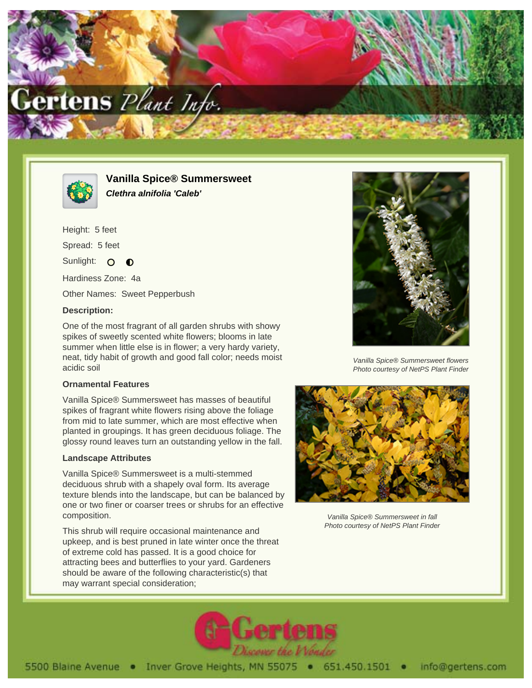



**Vanilla Spice® Summersweet Clethra alnifolia 'Caleb'**

Height: 5 feet Spread: 5 feet Sunlight: O  $\bullet$ Hardiness Zone: 4a

Other Names: Sweet Pepperbush

# **Description:**

One of the most fragrant of all garden shrubs with showy spikes of sweetly scented white flowers; blooms in late summer when little else is in flower; a very hardy variety, neat, tidy habit of growth and good fall color; needs moist acidic soil

# **Ornamental Features**

Vanilla Spice® Summersweet has masses of beautiful spikes of fragrant white flowers rising above the foliage from mid to late summer, which are most effective when planted in groupings. It has green deciduous foliage. The glossy round leaves turn an outstanding yellow in the fall.

# **Landscape Attributes**

Vanilla Spice® Summersweet is a multi-stemmed deciduous shrub with a shapely oval form. Its average texture blends into the landscape, but can be balanced by one or two finer or coarser trees or shrubs for an effective composition.

This shrub will require occasional maintenance and upkeep, and is best pruned in late winter once the threat of extreme cold has passed. It is a good choice for attracting bees and butterflies to your yard. Gardeners should be aware of the following characteristic(s) that may warrant special consideration;



Vanilla Spice® Summersweet flowers Photo courtesy of NetPS Plant Finder



Vanilla Spice® Summersweet in fall Photo courtesy of NetPS Plant Finder